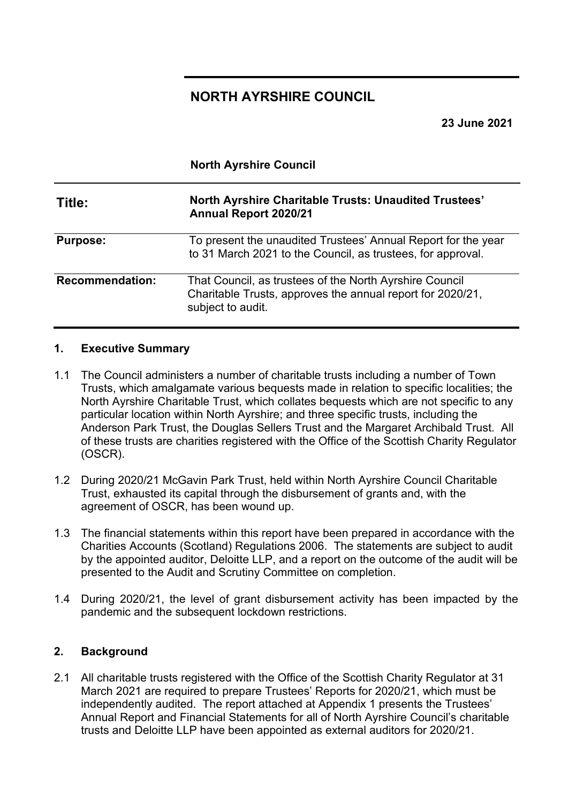# **NORTH AYRSHIRE COUNCIL**

**23 June 2021**

|                        | <b>North Ayrshire Council</b>                                                                                                              |
|------------------------|--------------------------------------------------------------------------------------------------------------------------------------------|
| Title:                 | <b>North Ayrshire Charitable Trusts: Unaudited Trustees'</b><br><b>Annual Report 2020/21</b>                                               |
| <b>Purpose:</b>        | To present the unaudited Trustees' Annual Report for the year<br>to 31 March 2021 to the Council, as trustees, for approval.               |
| <b>Recommendation:</b> | That Council, as trustees of the North Ayrshire Council<br>Charitable Trusts, approves the annual report for 2020/21,<br>subject to audit. |

#### **1. Executive Summary**

- 1.1 The Council administers a number of charitable trusts including a number of Town Trusts, which amalgamate various bequests made in relation to specific localities; the North Ayrshire Charitable Trust, which collates bequests which are not specific to any particular location within North Ayrshire; and three specific trusts, including the Anderson Park Trust, the Douglas Sellers Trust and the Margaret Archibald Trust. All of these trusts are charities registered with the Office of the Scottish Charity Regulator (OSCR).
- 1.2 During 2020/21 McGavin Park Trust, held within North Ayrshire Council Charitable Trust, exhausted its capital through the disbursement of grants and, with the agreement of OSCR, has been wound up.
- 1.3 The financial statements within this report have been prepared in accordance with the Charities Accounts (Scotland) Regulations 2006. The statements are subject to audit by the appointed auditor, Deloitte LLP, and a report on the outcome of the audit will be presented to the Audit and Scrutiny Committee on completion.
- 1.4 During 2020/21, the level of grant disbursement activity has been impacted by the pandemic and the subsequent lockdown restrictions.

#### **2. Background**

2.1 All charitable trusts registered with the Office of the Scottish Charity Regulator at 31 March 2021 are required to prepare Trustees' Reports for 2020/21, which must be independently audited. The report attached at Appendix 1 presents the Trustees' Annual Report and Financial Statements for all of North Ayrshire Council's charitable trusts and Deloitte LLP have been appointed as external auditors for 2020/21.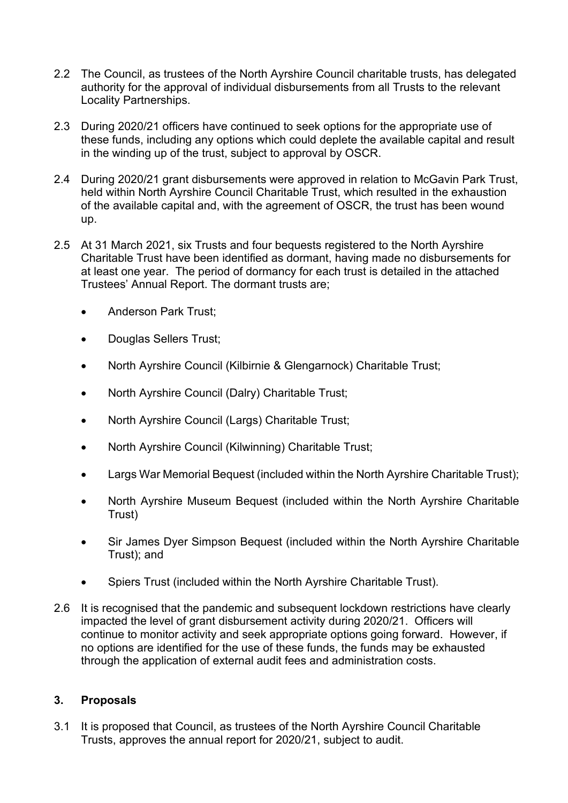- 2.2 The Council, as trustees of the North Ayrshire Council charitable trusts, has delegated authority for the approval of individual disbursements from all Trusts to the relevant Locality Partnerships.
- 2.3 During 2020/21 officers have continued to seek options for the appropriate use of these funds, including any options which could deplete the available capital and result in the winding up of the trust, subject to approval by OSCR.
- 2.4 During 2020/21 grant disbursements were approved in relation to McGavin Park Trust, held within North Ayrshire Council Charitable Trust, which resulted in the exhaustion of the available capital and, with the agreement of OSCR, the trust has been wound up.
- 2.5 At 31 March 2021, six Trusts and four bequests registered to the North Ayrshire Charitable Trust have been identified as dormant, having made no disbursements for at least one year. The period of dormancy for each trust is detailed in the attached Trustees' Annual Report. The dormant trusts are;
	- Anderson Park Trust;
	- Douglas Sellers Trust;
	- North Ayrshire Council (Kilbirnie & Glengarnock) Charitable Trust;
	- North Ayrshire Council (Dalry) Charitable Trust;
	- North Ayrshire Council (Largs) Charitable Trust;
	- North Ayrshire Council (Kilwinning) Charitable Trust;
	- Largs War Memorial Bequest (included within the North Ayrshire Charitable Trust);
	- North Ayrshire Museum Bequest (included within the North Ayrshire Charitable Trust)
	- Sir James Dyer Simpson Bequest (included within the North Ayrshire Charitable Trust); and
	- Spiers Trust (included within the North Ayrshire Charitable Trust).
- 2.6 It is recognised that the pandemic and subsequent lockdown restrictions have clearly impacted the level of grant disbursement activity during 2020/21. Officers will continue to monitor activity and seek appropriate options going forward. However, if no options are identified for the use of these funds, the funds may be exhausted through the application of external audit fees and administration costs.

#### **3. Proposals**

3.1 It is proposed that Council, as trustees of the North Ayrshire Council Charitable Trusts, approves the annual report for 2020/21, subject to audit.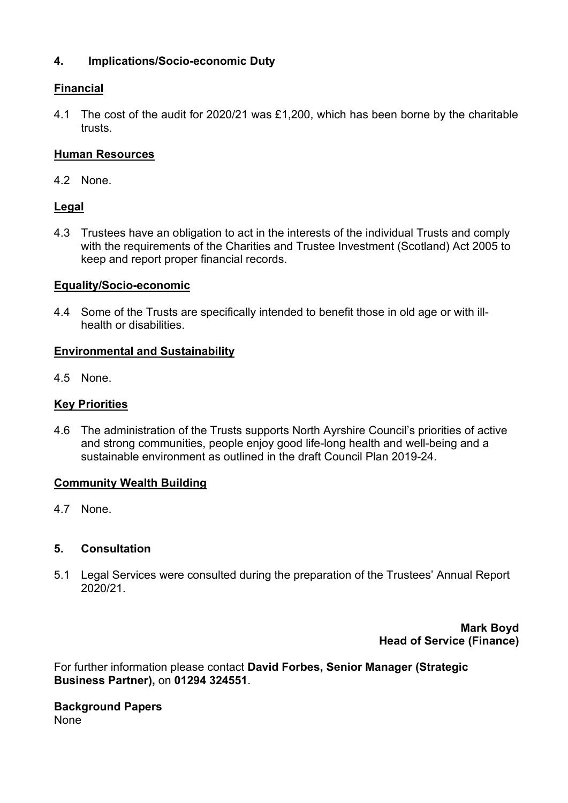### **4. Implications/Socio-economic Duty**

## **Financial**

4.1 The cost of the audit for 2020/21 was £1,200, which has been borne by the charitable trusts.

#### **Human Resources**

4.2 None.

## **Legal**

4.3 Trustees have an obligation to act in the interests of the individual Trusts and comply with the requirements of the Charities and Trustee Investment (Scotland) Act 2005 to keep and report proper financial records.

#### **Equality/Socio-economic**

4.4 Some of the Trusts are specifically intended to benefit those in old age or with illhealth or disabilities.

## **Environmental and Sustainability**

4.5 None.

# **Key Priorities**

4.6 The administration of the Trusts supports North Ayrshire Council's priorities of active and strong communities, people enjoy good life-long health and well-being and a sustainable environment as outlined in the draft Council Plan 2019-24.

# **Community Wealth Building**

4.7 None.

# **5. Consultation**

5.1 Legal Services were consulted during the preparation of the Trustees' Annual Report 2020/21.

> **Mark Boyd Head of Service (Finance)**

For further information please contact **David Forbes, Senior Manager (Strategic Business Partner),** on **01294 324551**.

**Background Papers None**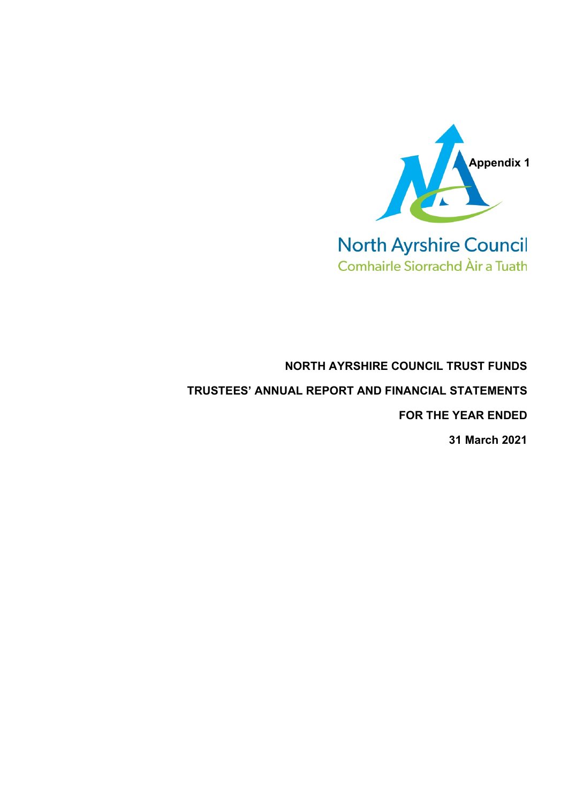

**NORTH AYRSHIRE COUNCIL TRUST FUNDS TRUSTEES' ANNUAL REPORT AND FINANCIAL STATEMENTS FOR THE YEAR ENDED** 

**31 March 2021**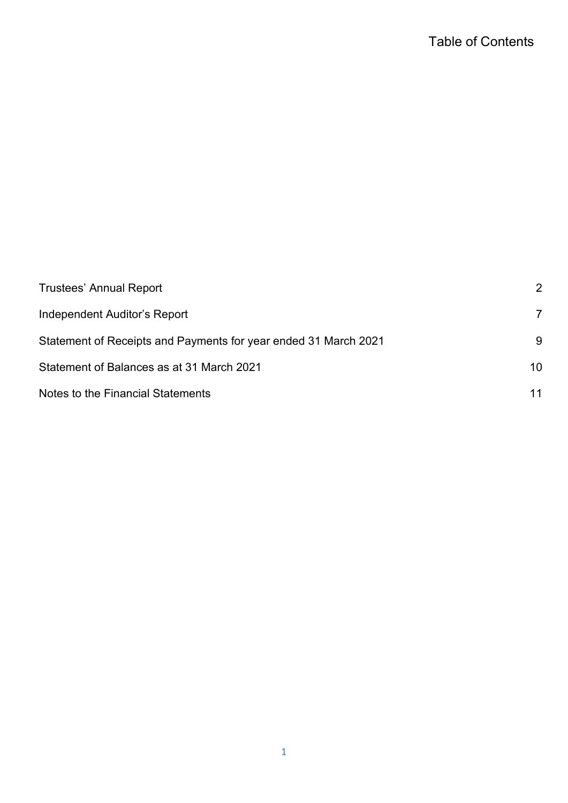| <b>Trustees' Annual Report</b>                                  | 2  |
|-----------------------------------------------------------------|----|
| Independent Auditor's Report                                    |    |
| Statement of Receipts and Payments for year ended 31 March 2021 | g  |
| Statement of Balances as at 31 March 2021                       | 10 |
| Notes to the Financial Statements                               | 11 |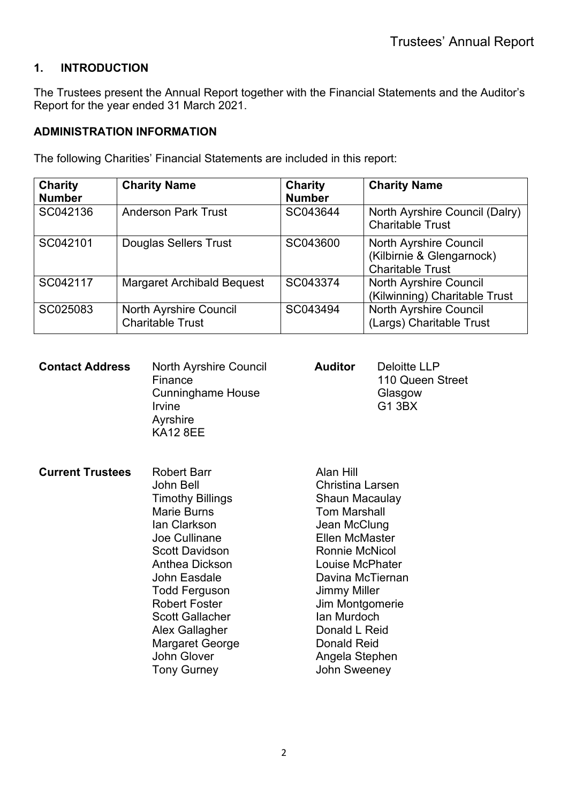#### **1. INTRODUCTION**

The Trustees present the Annual Report together with the Financial Statements and the Auditor's Report for the year ended 31 March 2021.

# **ADMINISTRATION INFORMATION**

The following Charities' Financial Statements are included in this report:

| <b>Charity</b><br><b>Number</b> | <b>Charity Name</b>                                      | <b>Charity</b><br><b>Number</b> | <b>Charity Name</b>                                                                   |
|---------------------------------|----------------------------------------------------------|---------------------------------|---------------------------------------------------------------------------------------|
| SC042136                        | <b>Anderson Park Trust</b>                               | SC043644                        | North Ayrshire Council (Dalry)<br><b>Charitable Trust</b>                             |
| SC042101                        | <b>Douglas Sellers Trust</b>                             | SC043600                        | <b>North Ayrshire Council</b><br>(Kilbirnie & Glengarnock)<br><b>Charitable Trust</b> |
| SC042117                        | <b>Margaret Archibald Bequest</b>                        | SC043374                        | <b>North Ayrshire Council</b><br>(Kilwinning) Charitable Trust                        |
| SC025083                        | <b>North Ayrshire Council</b><br><b>Charitable Trust</b> | SC043494                        | North Ayrshire Council<br>(Largs) Charitable Trust                                    |

| <b>Contact Address</b>  | North Ayrshire Council<br>Finance<br><b>Cunninghame House</b><br>Irvine<br>Ayrshire<br><b>KA12 8EE</b>                                                                                                                                                                                                                                                | <b>Auditor</b>                                                                                                                                                                                                                                                                                                    | <b>Deloitte LLP</b><br>110 Queen Street<br>Glasgow<br>G1 3BX |
|-------------------------|-------------------------------------------------------------------------------------------------------------------------------------------------------------------------------------------------------------------------------------------------------------------------------------------------------------------------------------------------------|-------------------------------------------------------------------------------------------------------------------------------------------------------------------------------------------------------------------------------------------------------------------------------------------------------------------|--------------------------------------------------------------|
| <b>Current Trustees</b> | <b>Robert Barr</b><br>John Bell<br><b>Timothy Billings</b><br><b>Marie Burns</b><br>lan Clarkson<br>Joe Cullinane<br><b>Scott Davidson</b><br><b>Anthea Dickson</b><br>John Easdale<br><b>Todd Ferguson</b><br><b>Robert Foster</b><br><b>Scott Gallacher</b><br>Alex Gallagher<br><b>Margaret George</b><br><b>John Glover</b><br><b>Tony Gurney</b> | Alan Hill<br>Christina Larsen<br>Shaun Macaulay<br><b>Tom Marshall</b><br>Jean McClung<br><b>Ellen McMaster</b><br><b>Ronnie McNicol</b><br>Louise McPhater<br>Davina McTiernan<br><b>Jimmy Miller</b><br>Jim Montgomerie<br>lan Murdoch<br>Donald L Reid<br><b>Donald Reid</b><br>Angela Stephen<br>John Sweeney |                                                              |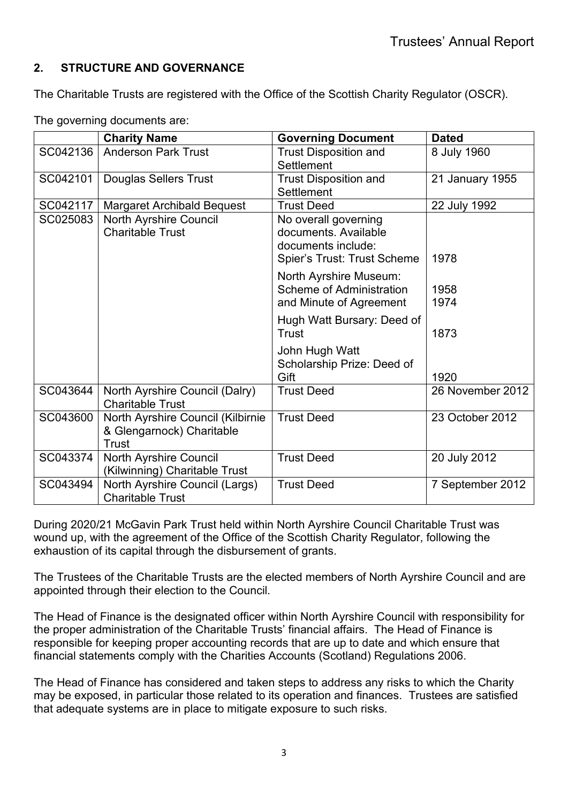# **2. STRUCTURE AND GOVERNANCE**

The Charitable Trusts are registered with the Office of the Scottish Charity Regulator (OSCR).

|          | <b>Charity Name</b>                                                     | <b>Governing Document</b>                                                                                | <b>Dated</b>     |
|----------|-------------------------------------------------------------------------|----------------------------------------------------------------------------------------------------------|------------------|
| SC042136 | <b>Anderson Park Trust</b>                                              | <b>Trust Disposition and</b><br>Settlement                                                               | 8 July 1960      |
| SC042101 | <b>Douglas Sellers Trust</b>                                            | <b>Trust Disposition and</b><br>Settlement                                                               | 21 January 1955  |
| SC042117 | <b>Margaret Archibald Bequest</b>                                       | <b>Trust Deed</b>                                                                                        | 22 July 1992     |
| SC025083 | North Ayrshire Council<br><b>Charitable Trust</b>                       | No overall governing<br>documents, Available<br>documents include:<br><b>Spier's Trust: Trust Scheme</b> | 1978             |
|          |                                                                         | North Ayrshire Museum:<br>Scheme of Administration<br>and Minute of Agreement                            | 1958<br>1974     |
|          |                                                                         | Hugh Watt Bursary: Deed of<br>Trust                                                                      | 1873             |
|          |                                                                         | John Hugh Watt<br>Scholarship Prize: Deed of<br>Gift                                                     | 1920             |
| SC043644 | North Ayrshire Council (Dalry)<br><b>Charitable Trust</b>               | <b>Trust Deed</b>                                                                                        | 26 November 2012 |
| SC043600 | North Ayrshire Council (Kilbirnie<br>& Glengarnock) Charitable<br>Trust | <b>Trust Deed</b>                                                                                        | 23 October 2012  |
| SC043374 | <b>North Ayrshire Council</b><br>(Kilwinning) Charitable Trust          | <b>Trust Deed</b>                                                                                        | 20 July 2012     |
| SC043494 | North Ayrshire Council (Largs)<br><b>Charitable Trust</b>               | <b>Trust Deed</b>                                                                                        | 7 September 2012 |

The governing documents are:

During 2020/21 McGavin Park Trust held within North Ayrshire Council Charitable Trust was wound up, with the agreement of the Office of the Scottish Charity Regulator, following the exhaustion of its capital through the disbursement of grants.

The Trustees of the Charitable Trusts are the elected members of North Ayrshire Council and are appointed through their election to the Council.

The Head of Finance is the designated officer within North Ayrshire Council with responsibility for the proper administration of the Charitable Trusts' financial affairs. The Head of Finance is responsible for keeping proper accounting records that are up to date and which ensure that financial statements comply with the Charities Accounts (Scotland) Regulations 2006.

The Head of Finance has considered and taken steps to address any risks to which the Charity may be exposed, in particular those related to its operation and finances. Trustees are satisfied that adequate systems are in place to mitigate exposure to such risks.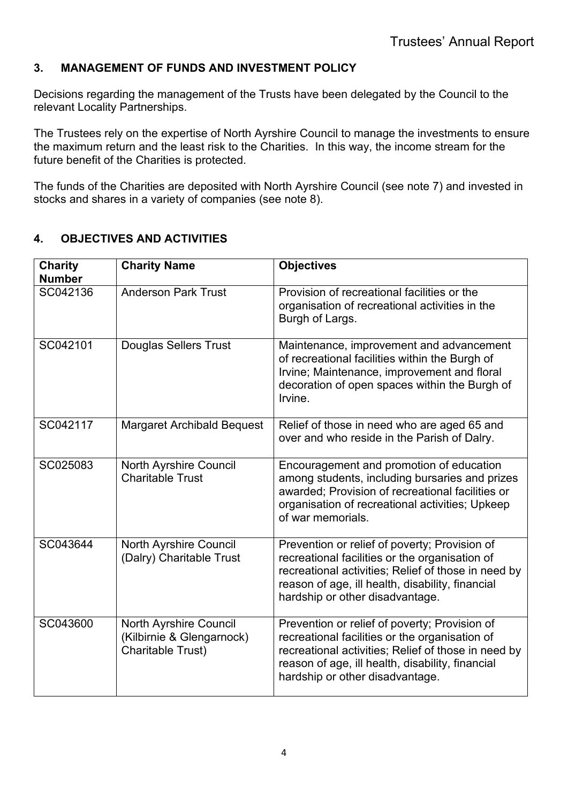## **3. MANAGEMENT OF FUNDS AND INVESTMENT POLICY**

Decisions regarding the management of the Trusts have been delegated by the Council to the relevant Locality Partnerships.

The Trustees rely on the expertise of North Ayrshire Council to manage the investments to ensure the maximum return and the least risk to the Charities. In this way, the income stream for the future benefit of the Charities is protected.

The funds of the Charities are deposited with North Ayrshire Council (see note 7) and invested in stocks and shares in a variety of companies (see note 8).

#### **4. OBJECTIVES AND ACTIVITIES**

| <b>Charity</b><br><b>Number</b> | <b>Charity Name</b>                                                      | <b>Objectives</b>                                                                                                                                                                                                                             |
|---------------------------------|--------------------------------------------------------------------------|-----------------------------------------------------------------------------------------------------------------------------------------------------------------------------------------------------------------------------------------------|
| SC042136                        | <b>Anderson Park Trust</b>                                               | Provision of recreational facilities or the<br>organisation of recreational activities in the<br>Burgh of Largs.                                                                                                                              |
| SC042101                        | <b>Douglas Sellers Trust</b>                                             | Maintenance, improvement and advancement<br>of recreational facilities within the Burgh of<br>Irvine; Maintenance, improvement and floral<br>decoration of open spaces within the Burgh of<br>Irvine.                                         |
| SC042117                        | <b>Margaret Archibald Bequest</b>                                        | Relief of those in need who are aged 65 and<br>over and who reside in the Parish of Dalry.                                                                                                                                                    |
| SC025083                        | North Ayrshire Council<br><b>Charitable Trust</b>                        | Encouragement and promotion of education<br>among students, including bursaries and prizes<br>awarded; Provision of recreational facilities or<br>organisation of recreational activities; Upkeep<br>of war memorials.                        |
| SC043644                        | North Ayrshire Council<br>(Dalry) Charitable Trust                       | Prevention or relief of poverty; Provision of<br>recreational facilities or the organisation of<br>recreational activities; Relief of those in need by<br>reason of age, ill health, disability, financial<br>hardship or other disadvantage. |
| SC043600                        | North Ayrshire Council<br>(Kilbirnie & Glengarnock)<br>Charitable Trust) | Prevention or relief of poverty; Provision of<br>recreational facilities or the organisation of<br>recreational activities; Relief of those in need by<br>reason of age, ill health, disability, financial<br>hardship or other disadvantage. |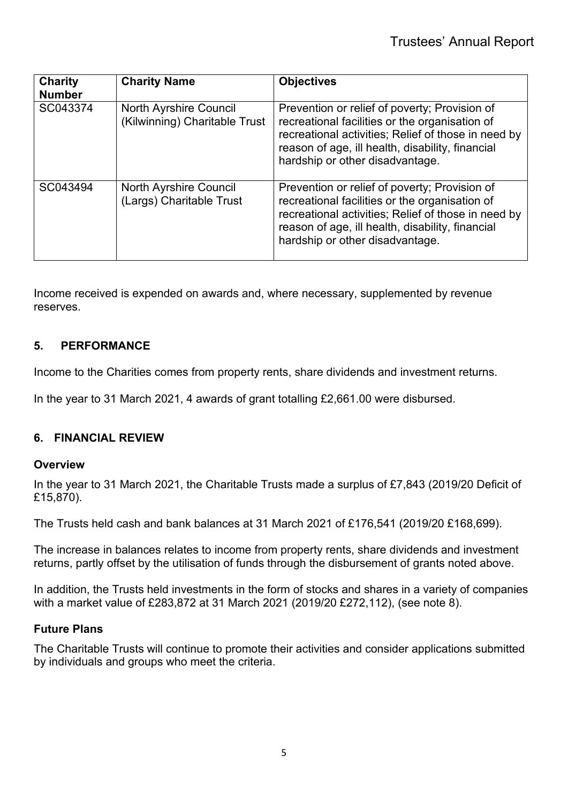| <b>Charity</b><br><b>Number</b> | <b>Charity Name</b>                                            | <b>Objectives</b>                                                                                                                                                                                                                             |
|---------------------------------|----------------------------------------------------------------|-----------------------------------------------------------------------------------------------------------------------------------------------------------------------------------------------------------------------------------------------|
| SC043374                        | <b>North Ayrshire Council</b><br>(Kilwinning) Charitable Trust | Prevention or relief of poverty; Provision of<br>recreational facilities or the organisation of<br>recreational activities; Relief of those in need by<br>reason of age, ill health, disability, financial<br>hardship or other disadvantage. |
| SC043494                        | <b>North Ayrshire Council</b><br>(Largs) Charitable Trust      | Prevention or relief of poverty; Provision of<br>recreational facilities or the organisation of<br>recreational activities; Relief of those in need by<br>reason of age, ill health, disability, financial<br>hardship or other disadvantage. |

Income received is expended on awards and, where necessary, supplemented by revenue reserves.

## **5. PERFORMANCE**

Income to the Charities comes from property rents, share dividends and investment returns.

In the year to 31 March 2021, 4 awards of grant totalling £2,661.00 were disbursed.

#### **6. FINANCIAL REVIEW**

#### **Overview**

In the year to 31 March 2021, the Charitable Trusts made a surplus of £7,843 (2019/20 Deficit of £15,870).

The Trusts held cash and bank balances at 31 March 2021 of £176,541 (2019/20 £168,699).

The increase in balances relates to income from property rents, share dividends and investment returns, partly offset by the utilisation of funds through the disbursement of grants noted above.

In addition, the Trusts held investments in the form of stocks and shares in a variety of companies with a market value of £283,872 at 31 March 2021 (2019/20 £272,112), (see note 8).

#### **Future Plans**

The Charitable Trusts will continue to promote their activities and consider applications submitted by individuals and groups who meet the criteria.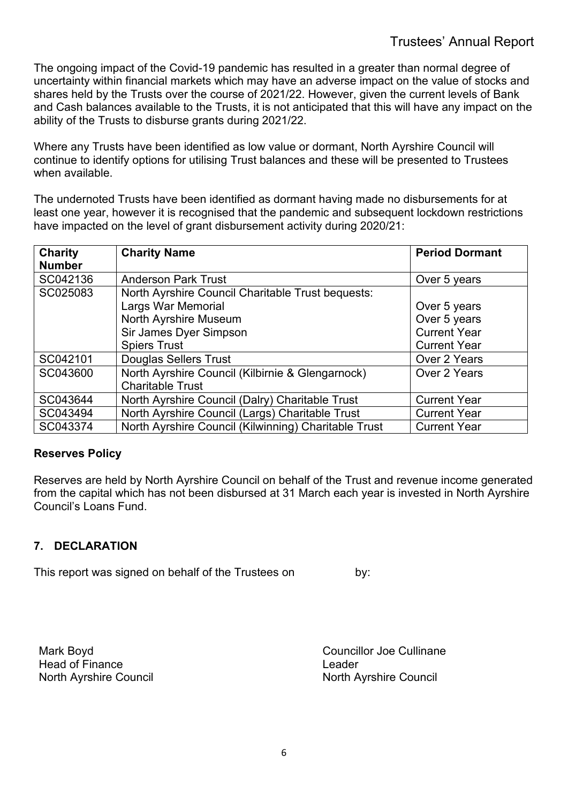The ongoing impact of the Covid-19 pandemic has resulted in a greater than normal degree of uncertainty within financial markets which may have an adverse impact on the value of stocks and shares held by the Trusts over the course of 2021/22. However, given the current levels of Bank and Cash balances available to the Trusts, it is not anticipated that this will have any impact on the ability of the Trusts to disburse grants during 2021/22.

Where any Trusts have been identified as low value or dormant, North Ayrshire Council will continue to identify options for utilising Trust balances and these will be presented to Trustees when available.

The undernoted Trusts have been identified as dormant having made no disbursements for at least one year, however it is recognised that the pandemic and subsequent lockdown restrictions have impacted on the level of grant disbursement activity during 2020/21:

| <b>Charity</b><br><b>Number</b> | <b>Charity Name</b>                                  | <b>Period Dormant</b> |
|---------------------------------|------------------------------------------------------|-----------------------|
| SC042136                        | <b>Anderson Park Trust</b>                           | Over 5 years          |
| SC025083                        | North Ayrshire Council Charitable Trust bequests:    |                       |
|                                 | Largs War Memorial                                   | Over 5 years          |
|                                 | North Ayrshire Museum                                | Over 5 years          |
|                                 | Sir James Dyer Simpson                               | <b>Current Year</b>   |
|                                 | <b>Spiers Trust</b>                                  | <b>Current Year</b>   |
| SC042101                        | <b>Douglas Sellers Trust</b>                         | Over 2 Years          |
| SC043600                        | North Ayrshire Council (Kilbirnie & Glengarnock)     | Over 2 Years          |
|                                 | <b>Charitable Trust</b>                              |                       |
| SC043644                        | North Ayrshire Council (Dalry) Charitable Trust      | <b>Current Year</b>   |
| SC043494                        | North Ayrshire Council (Largs) Charitable Trust      | <b>Current Year</b>   |
| SC043374                        | North Ayrshire Council (Kilwinning) Charitable Trust | <b>Current Year</b>   |

#### **Reserves Policy**

Reserves are held by North Ayrshire Council on behalf of the Trust and revenue income generated from the capital which has not been disbursed at 31 March each year is invested in North Ayrshire Council's Loans Fund.

# **7. DECLARATION**

This report was signed on behalf of the Trustees on by:

Head of Finance Leader North Ayrshire Council **North Ayrshire Council** North Ayrshire Council

Mark Boyd **Councillor Joe Cullinane**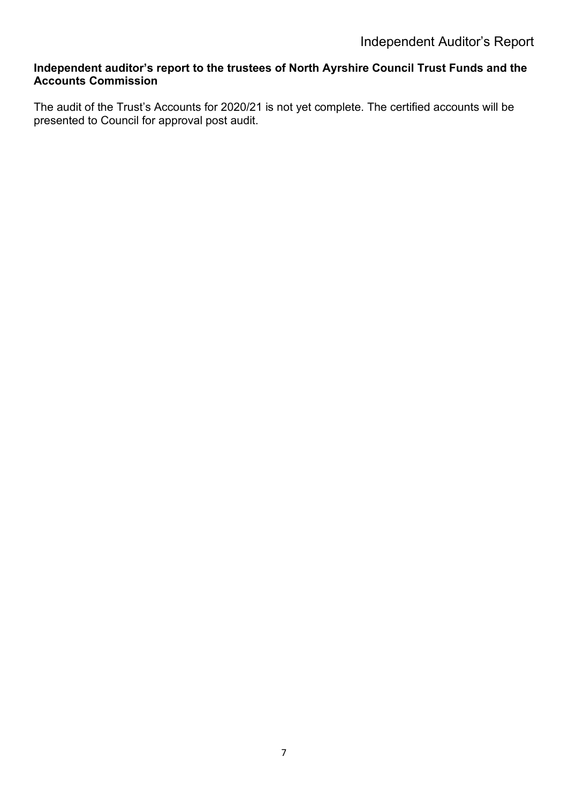#### **Independent auditor's report to the trustees of North Ayrshire Council Trust Funds and the Accounts Commission**

The audit of the Trust's Accounts for 2020/21 is not yet complete. The certified accounts will be presented to Council for approval post audit.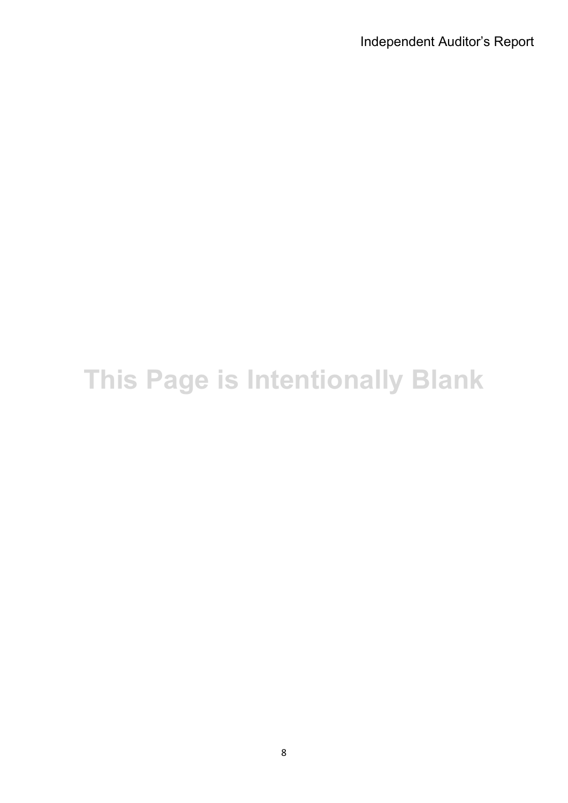# **This Page is Intentionally Blank**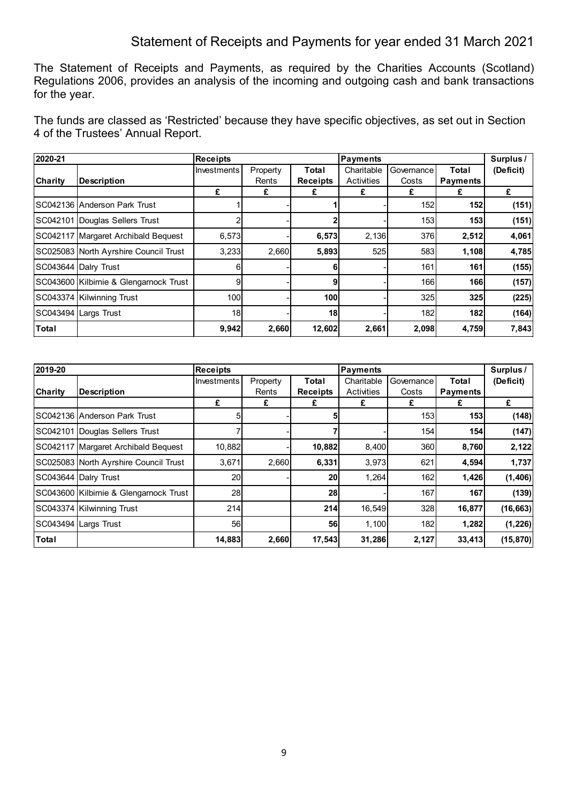# Statement of Receipts and Payments for year ended 31 March 2021

The Statement of Receipts and Payments, as required by the Charities Accounts (Scotland) Regulations 2006, provides an analysis of the incoming and outgoing cash and bank transactions for the year.

The funds are classed as 'Restricted' because they have specific objectives, as set out in Section 4 of the Trustees' Annual Report.

| 2020-21        |                                        | <b>Receipts</b>    | Surplus/<br>Payments |                 |            |            |                 |           |
|----------------|----------------------------------------|--------------------|----------------------|-----------------|------------|------------|-----------------|-----------|
|                |                                        | <b>Investments</b> | Property             | Total           | Charitable | Governance | Total           | (Deficit) |
| <b>Charity</b> | Description                            |                    | Rents                | <b>Receipts</b> | Activities | Costs      | <b>Payments</b> |           |
|                |                                        | £                  | £                    | £               | £          | £          | £               | £         |
|                | ISC042136 IAnderson Park Trust         |                    |                      |                 |            | 152        | 152             | (151)     |
|                | SC042101 Douglas Sellers Trust         |                    |                      |                 |            | 153        | 153             | (151)     |
|                | SC042117 Margaret Archibald Bequest    | 6,573              |                      | 6,573           | 2,136      | 376        | 2,512           | 4,061     |
|                | SC025083 North Ayrshire Council Trust  | 3,233              | 2,660                | 5,893           | 525        | 583        | 1,108           | 4,785     |
|                | SC043644 Dalry Trust                   | 6                  |                      |                 |            | 161        | 161             | (155)     |
|                | SC043600 Kilbirnie & Glengarnock Trust | 9                  |                      |                 |            | 166        | 166             | (157)     |
|                | SC043374  Kilwinning Trust             | 100                |                      | 100             |            | 325        | 325             | (225)     |
|                | SC043494 Largs Trust                   | 18                 |                      | 18              |            | 182        | 182             | (164)     |
| Total          |                                        | 9,942              | 2,660                | 12,602          | 2,661      | 2,098      | 4,759           | 7,843     |

| 2019-20        |                                        | <b>Receipts</b> |          |          | Payments   |                     | Surplus/        |           |
|----------------|----------------------------------------|-----------------|----------|----------|------------|---------------------|-----------------|-----------|
|                |                                        | Investments     | Property | Total    | Charitable | Total<br>Governance |                 |           |
| <b>Charity</b> | <b>Description</b>                     |                 | Rents    | Receipts | Activities | Costs               | <b>Payments</b> |           |
|                |                                        | £               | £        | £        | £          | £                   | £               | £         |
|                | SC042136 Anderson Park Trust           | 5               |          |          |            | 153                 | 153             | (148)     |
|                | SC042101 Douglas Sellers Trust         |                 |          |          |            | 154                 | 154             | (147)     |
|                | SC042117 Margaret Archibald Bequest    | 10,882          |          | 10,882   | 8,400      | 360                 | 8,760           | 2,122     |
|                | SC025083 North Ayrshire Council Trust  | 3,671           | 2,660    | 6,331    | 3,973      | 621                 | 4,594           | 1,737     |
|                | SC043644 Dalry Trust                   | 20              |          | 20       | 1,264      | 162                 | 1,426           | (1,406)   |
|                | SC043600 Kilbirnie & Glengarnock Trust | 28              |          | 28       |            | 167                 | 167             | (139)     |
|                | SC043374 Kilwinning Trust              | 214             |          | 214      | 16,549     | 328                 | 16,877          | (16, 663) |
|                | SC043494 Largs Trust                   | 56              |          | 56       | 1,100      | <b>182</b>          | 1,282           | (1, 226)  |
| Total          |                                        | 14,883          | 2,660    | 17,543   | 31,286     | 2,127               | 33,413          | (15, 870) |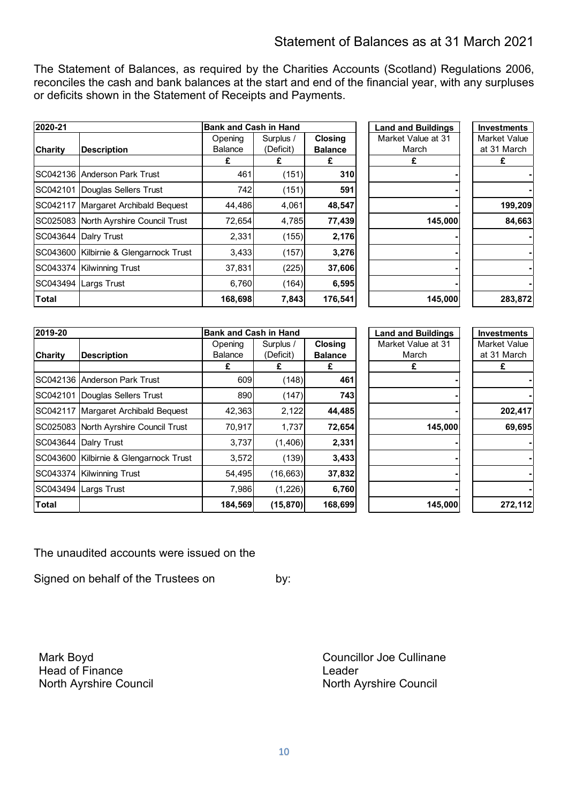The Statement of Balances, as required by the Charities Accounts (Scotland) Regulations 2006, reconciles the cash and bank balances at the start and end of the financial year, with any surpluses or deficits shown in the Statement of Receipts and Payments.

| 2020-21        |                                        | <b>Bank and Cash in Hand</b> |                        | <b>Land and Buildings</b>        | <b>Investments</b>          |                             |
|----------------|----------------------------------------|------------------------------|------------------------|----------------------------------|-----------------------------|-----------------------------|
| <b>Charity</b> | <b>Description</b>                     | Opening<br><b>Balance</b>    | Surplus /<br>(Deficit) | <b>Closing</b><br><b>Balance</b> | Market Value at 31<br>March | Market Value<br>at 31 March |
|                |                                        |                              |                        | £                                |                             | £                           |
|                | ISC042136 IAnderson Park Trust         | 461                          | (151)                  | 310                              |                             |                             |
| SC042101       | Douglas Sellers Trust                  | 742                          | (151)                  | 591                              |                             |                             |
|                | SC042117 Margaret Archibald Bequest    | 44.486                       | 4,061                  | 48,547                           |                             | 199,209                     |
|                | SC025083 North Ayrshire Council Trust  | 72,654                       | 4,785                  | 77,439                           | 145,000                     | 84,663                      |
|                | SC043644 Dalry Trust                   | 2,331                        | (155)                  | 2,176                            |                             |                             |
|                | SC043600 Kilbirnie & Glengarnock Trust | 3,433                        | (157)                  | 3,276                            |                             |                             |
|                | SC043374 Kilwinning Trust              | 37,831                       | (225)                  | 37,606                           |                             |                             |
|                | SC043494   Largs Trust                 | 6.760                        | (164)                  | 6,595                            |                             |                             |
| <b>Total</b>   |                                        | 168,698                      | 7.843                  | 176,541                          | 145,000                     | 283,872                     |

| <b>Investments</b>  | <b>Land and Buildings</b> |
|---------------------|---------------------------|
| <b>Market Value</b> | Market Value at 31        |
| at 31 March         | March                     |
| £                   | £                         |
|                     |                           |
|                     |                           |
| 199,209             |                           |
| 84,663              | 145,000                   |
|                     |                           |
|                     |                           |
|                     |                           |
|                     |                           |
| 283,872             | 145,000                   |
|                     |                           |

| 2019-20        |                                        | <b>Bank and Cash in Hand</b> |                        |                           | <b>Land and Buildings</b>   | <b>Investments</b>          |
|----------------|----------------------------------------|------------------------------|------------------------|---------------------------|-----------------------------|-----------------------------|
| <b>Charity</b> | <b>Description</b>                     | Opening<br>Balance           | Surplus /<br>(Deficit) | Closing<br><b>Balance</b> | Market Value at 31<br>March | Market Value<br>at 31 March |
|                |                                        |                              | £                      | £                         |                             | £                           |
|                | ISC042136 IAnderson Park Trust         | 609                          | (148)                  | 461                       |                             |                             |
| SC042101       | Douglas Sellers Trust                  | 890                          | (147)                  | 743                       |                             |                             |
|                | SC042117 Margaret Archibald Bequest    | 42,363                       | 2,122                  | 44,485                    |                             | 202,417                     |
|                | SC025083 North Ayrshire Council Trust  | 70,917                       | 1,737                  | 72,654                    | 145,000                     | 69,695                      |
|                | SC043644 Dalry Trust                   | 3,737                        | (1, 406)               | 2,331                     |                             |                             |
|                | SC043600 Kilbirnie & Glengarnock Trust | 3,572                        | (139)                  | 3,433                     |                             |                             |
|                | SC043374 Kilwinning Trust              | 54,495                       | (16, 663)              | 37,832                    |                             |                             |
|                | SC043494 Largs Trust                   | 7,986                        | (1, 226)               | 6,760                     |                             |                             |
| <b>Total</b>   |                                        | 184,569                      | (15, 870)              | 168,699                   | 145,000                     | 272,112                     |

| <b>Land and Buildings</b> | <b>Investments</b>  |
|---------------------------|---------------------|
| Market Value at 31        | <b>Market Value</b> |
| March                     | at 31 March         |
| £                         | £                   |
|                           |                     |
|                           |                     |
|                           | 202,417             |
| 145,000                   | 69,695              |
|                           |                     |
|                           |                     |
|                           |                     |
|                           |                     |
| 145,000                   | 272,112             |

The unaudited accounts were issued on the

Signed on behalf of the Trustees on by:

Head of Finance<br>
North Ayrshire Council<br>
North Ayrshire Council North Ayrshire Council

Mark Boyd **Councillor Joe Cullinane**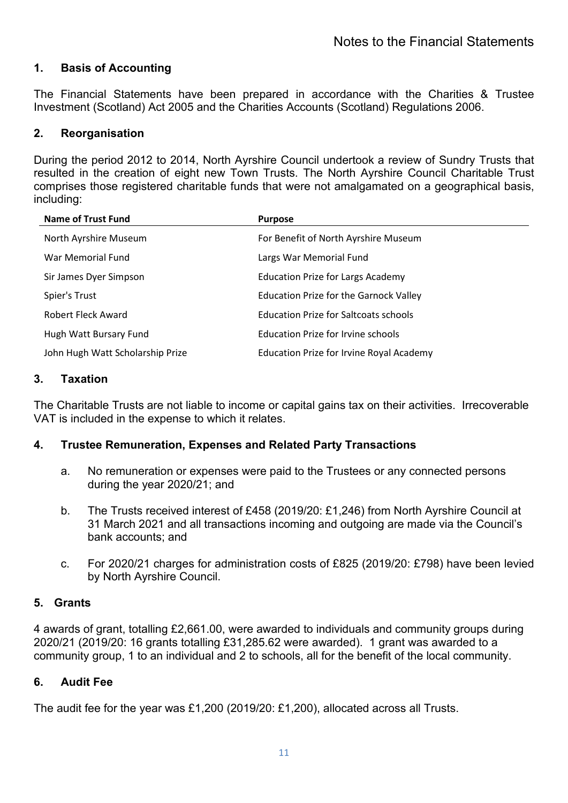#### **1. Basis of Accounting**

The Financial Statements have been prepared in accordance with the Charities & Trustee Investment (Scotland) Act 2005 and the Charities Accounts (Scotland) Regulations 2006.

#### **2. Reorganisation**

During the period 2012 to 2014, North Ayrshire Council undertook a review of Sundry Trusts that resulted in the creation of eight new Town Trusts. The North Ayrshire Council Charitable Trust comprises those registered charitable funds that were not amalgamated on a geographical basis, including:

| <b>Name of Trust Fund</b>        | <b>Purpose</b>                                |
|----------------------------------|-----------------------------------------------|
| North Ayrshire Museum            | For Benefit of North Ayrshire Museum          |
| War Memorial Fund                | Largs War Memorial Fund                       |
| Sir James Dyer Simpson           | Education Prize for Largs Academy             |
| Spier's Trust                    | <b>Education Prize for the Garnock Valley</b> |
| Robert Fleck Award               | <b>Education Prize for Saltcoats schools</b>  |
| Hugh Watt Bursary Fund           | <b>Education Prize for Irvine schools</b>     |
| John Hugh Watt Scholarship Prize | Education Prize for Irvine Royal Academy      |

#### **3. Taxation**

The Charitable Trusts are not liable to income or capital gains tax on their activities. Irrecoverable VAT is included in the expense to which it relates.

#### **4. Trustee Remuneration, Expenses and Related Party Transactions**

- a. No remuneration or expenses were paid to the Trustees or any connected persons during the year 2020/21; and
- b. The Trusts received interest of £458 (2019/20: £1,246) from North Ayrshire Council at 31 March 2021 and all transactions incoming and outgoing are made via the Council's bank accounts; and
- c. For 2020/21 charges for administration costs of £825 (2019/20: £798) have been levied by North Ayrshire Council.

#### **5. Grants**

4 awards of grant, totalling £2,661.00, were awarded to individuals and community groups during 2020/21 (2019/20: 16 grants totalling £31,285.62 were awarded). 1 grant was awarded to a community group, 1 to an individual and 2 to schools, all for the benefit of the local community.

#### **6. Audit Fee**

The audit fee for the year was £1,200 (2019/20: £1,200), allocated across all Trusts.